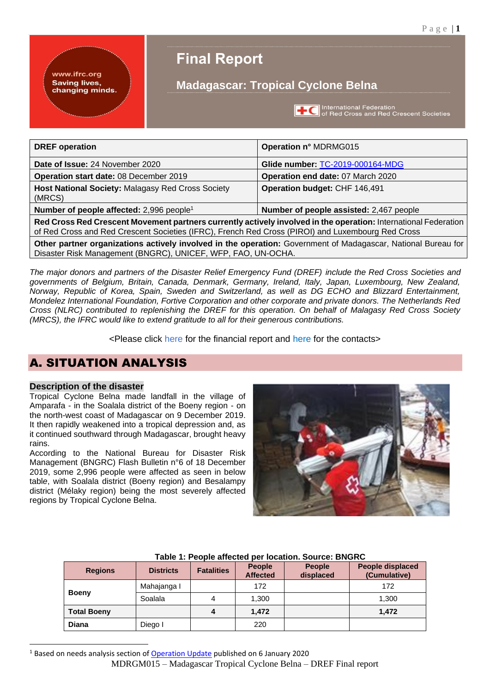www.ifrc.org **Saving lives,** changing minds.

# **Final Report**

# **Madagascar: Tropical Cyclone Belna**

**THE** International Federation<br>of Red Cross and Red Crescent Societies

| <b>DREF</b> operation                                                                                                                                                                                                | Operation n° MDRMG015                   |  |
|----------------------------------------------------------------------------------------------------------------------------------------------------------------------------------------------------------------------|-----------------------------------------|--|
| Date of Issue: 24 November 2020                                                                                                                                                                                      | Glide number: TC-2019-000164-MDG        |  |
| Operation start date: 08 December 2019                                                                                                                                                                               | Operation end date: 07 March 2020       |  |
| Host National Society: Malagasy Red Cross Society<br>(MRCS)                                                                                                                                                          | Operation budget: CHF 146,491           |  |
| Number of people affected: $2,996$ people <sup>1</sup>                                                                                                                                                               | Number of people assisted: 2,467 people |  |
| Red Cross Red Crescent Movement partners currently actively involved in the operation: International Federation<br>of Red Cross and Red Crescent Societies (IFRC), French Red Cross (PIROI) and Luxembourg Red Cross |                                         |  |
| Other partner organizations actively involved in the operation: Government of Madagascar, National Bureau for<br>Disaster Risk Management (BNGRC), UNICEF, WFP, FAO, UN-OCHA.                                        |                                         |  |

*The major donors and partners of the Disaster Relief Emergency Fund (DREF) include the Red Cross Societies and governments of Belgium, Britain, Canada, Denmark, Germany, Ireland, Italy, Japan, Luxembourg, New Zealand, Norway, Republic of Korea, Spain, Sweden and Switzerland, as well as DG ECHO and Blizzard Entertainment, Mondelez International Foundation, Fortive Corporation and other corporate and private donors. The Netherlands Red Cross (NLRC) contributed to replenishing the DREF for this operation. On behalf of Malagasy Red Cross Society (MRCS), the IFRC would like to extend gratitude to all for their generous contributions.*

<Please click [here](#page-10-0) for the financial report and [here](#page-12-0) for the contacts>

# A. SITUATION ANALYSIS

## **Description of the disaster**

Tropical Cyclone Belna made landfall in the village of Amparafa - in the Soalala district of the Boeny region - on the north-west coast of Madagascar on 9 December 2019. It then rapidly weakened into a tropical depression and, as it continued southward through Madagascar, brought heavy rains.

According to the National Bureau for Disaster Risk Management (BNGRC) Flash Bulletin n°6 of 18 December 2019, some 2,996 people were affected as seen in below tabl*e*, with Soalala district (Boeny region) and Besalampy district (Mélaky region) being the most severely affected regions by Tropical Cyclone Belna.



| <b>Regions</b>     | <b>Districts</b> | <b>Fatalities</b> | <b>People</b><br><b>Affected</b> | <b>People</b><br>displaced | <b>People displaced</b><br>(Cumulative) |
|--------------------|------------------|-------------------|----------------------------------|----------------------------|-----------------------------------------|
|                    | Mahajanga I      |                   | 172                              |                            | 172                                     |
| <b>Boeny</b>       | Soalala          | 4                 | 1,300                            |                            | 1,300                                   |
| <b>Total Boeny</b> |                  | 4                 | 1.472                            |                            | 1,472                                   |
| <b>Diana</b>       | Diego I          |                   | 220                              |                            |                                         |

### **Table 1: People affected per location. Source: BNGRC**

<sup>1</sup> Based on needs analysis section of [Operation Update](http://adore.ifrc.org/Download.aspx?FileId=282504) published on 6 January 2020

MDRGM015 – Madagascar Tropical Cyclone Belna – DREF Final report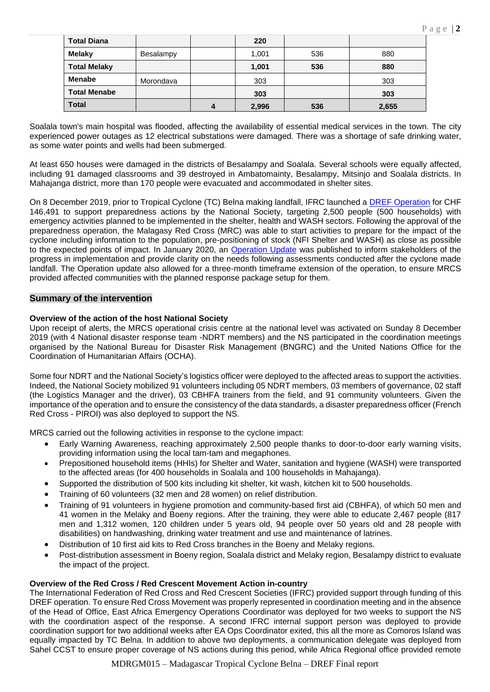|  |  |  |  | ٠ |
|--|--|--|--|---|
|--|--|--|--|---|

| <b>Total Diana</b>  |           |   | 220   |     |       |
|---------------------|-----------|---|-------|-----|-------|
| <b>Melaky</b>       | Besalampy |   | 1,001 | 536 | 880   |
| <b>Total Melaky</b> |           |   | 1,001 | 536 | 880   |
| <b>Menabe</b>       | Morondava |   | 303   |     | 303   |
| <b>Total Menabe</b> |           |   | 303   |     | 303   |
| <b>Total</b>        |           | 4 | 2,996 | 536 | 2,655 |

Soalala town's main hospital was flooded, affecting the availability of essential medical services in the town. The city experienced power outages as 12 electrical substations were damaged. There was a shortage of safe drinking water, as some water points and wells had been submerged.

At least 650 houses were damaged in the districts of Besalampy and Soalala. Several schools were equally affected, including 91 damaged classrooms and 39 destroyed in Ambatomainty, Besalampy, Mitsinjo and Soalala districts. In Mahajanga district, more than 170 people were evacuated and accommodated in shelter sites.

On 8 December 2019, prior to Tropical Cyclone (TC) Belna making landfall, IFRC launched a **DREF Operation** for CHF 146,491 to support preparedness actions by the National Society, targeting 2,500 people (500 households) with emergency activities planned to be implemented in the shelter, health and WASH sectors. Following the approval of the preparedness operation, the Malagasy Red Cross (MRC) was able to start activities to prepare for the impact of the cyclone including information to the population, pre-positioning of stock (NFI Shelter and WASH) as close as possible to the expected points of impact. In January 2020, an [Operation Update](http://adore.ifrc.org/Download.aspx?FileId=282504) was published to inform stakeholders of the progress in implementation and provide clarity on the needs following assessments conducted after the cyclone made landfall. The Operation update also allowed for a three-month timeframe extension of the operation, to ensure MRCS provided affected communities with the planned response package setup for them.

## **Summary of the intervention**

### **Overview of the action of the host National Society**

Upon receipt of alerts, the MRCS operational crisis centre at the national level was activated on Sunday 8 December 2019 (with 4 National disaster response team -NDRT members) and the NS participated in the coordination meetings organised by the National Bureau for Disaster Risk Management (BNGRC) and the United Nations Office for the Coordination of Humanitarian Affairs (OCHA).

Some four NDRT and the National Society's logistics officer were deployed to the affected areas to support the activities. Indeed, the National Society mobilized 91 volunteers including 05 NDRT members, 03 members of governance, 02 staff (the Logistics Manager and the driver), 03 CBHFA trainers from the field, and 91 community volunteers. Given the importance of the operation and to ensure the consistency of the data standards, a disaster preparedness officer (French Red Cross - PIROI) was also deployed to support the NS.

MRCS carried out the following activities in response to the cyclone impact:

- Early Warning Awareness, reaching approximately 2,500 people thanks to door-to-door early warning visits, providing information using the local tam-tam and megaphones.
- Prepositioned household items (HHIs) for Shelter and Water, sanitation and hygiene (WASH) were transported to the affected areas (for 400 households in Soalala and 100 households in Mahajanga).
- Supported the distribution of 500 kits including kit shelter, kit wash, kitchen kit to 500 households.
- Training of 60 volunteers (32 men and 28 women) on relief distribution.
- Training of 91 volunteers in hygiene promotion and community-based first aid (CBHFA), of which 50 men and 41 women in the Melaky and Boeny regions. After the training, they were able to educate 2,467 people (817 men and 1,312 women, 120 children under 5 years old, 94 people over 50 years old and 28 people with disabilities) on handwashing, drinking water treatment and use and maintenance of latrines.
- Distribution of 10 first aid kits to Red Cross branches in the Boeny and Melaky regions.
- Post-distribution assessment in Boeny region, Soalala district and Melaky region, Besalampy district to evaluate the impact of the project.

#### **Overview of the Red Cross / Red Crescent Movement Action in-country**

The International Federation of Red Cross and Red Crescent Societies (IFRC) provided support through funding of this DREF operation. To ensure Red Cross Movement was properly represented in coordination meeting and in the absence of the Head of Office, East Africa Emergency Operations Coordinator was deployed for two weeks to support the NS with the coordination aspect of the response. A second IFRC internal support person was deployed to provide coordination support for two additional weeks after EA Ops Coordinator exited, this all the more as Comoros Island was equally impacted by TC Belna. In addition to above two deployments, a communication delegate was deployed from Sahel CCST to ensure proper coverage of NS actions during this period, while Africa Regional office provided remote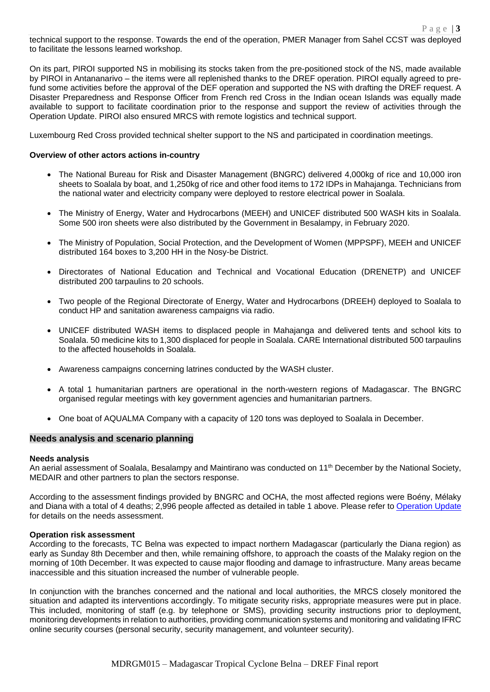technical support to the response. Towards the end of the operation, PMER Manager from Sahel CCST was deployed to facilitate the lessons learned workshop.

On its part, PIROI supported NS in mobilising its stocks taken from the pre-positioned stock of the NS, made available by PIROI in Antananarivo – the items were all replenished thanks to the DREF operation. PIROI equally agreed to prefund some activities before the approval of the DEF operation and supported the NS with drafting the DREF request. A Disaster Preparedness and Response Officer from French red Cross in the Indian ocean Islands was equally made available to support to facilitate coordination prior to the response and support the review of activities through the Operation Update. PIROI also ensured MRCS with remote logistics and technical support.

Luxembourg Red Cross provided technical shelter support to the NS and participated in coordination meetings.

#### **Overview of other actors actions in-country**

- The National Bureau for Risk and Disaster Management (BNGRC) delivered 4,000kg of rice and 10,000 iron sheets to Soalala by boat, and 1,250kg of rice and other food items to 172 IDPs in Mahajanga. Technicians from the national water and electricity company were deployed to restore electrical power in Soalala.
- The Ministry of Energy, Water and Hydrocarbons (MEEH) and UNICEF distributed 500 WASH kits in Soalala. Some 500 iron sheets were also distributed by the Government in Besalampy, in February 2020.
- The Ministry of Population, Social Protection, and the Development of Women (MPPSPF), MEEH and UNICEF distributed 164 boxes to 3,200 HH in the Nosy-be District.
- Directorates of National Education and Technical and Vocational Education (DRENETP) and UNICEF distributed 200 tarpaulins to 20 schools.
- Two people of the Regional Directorate of Energy, Water and Hydrocarbons (DREEH) deployed to Soalala to conduct HP and sanitation awareness campaigns via radio.
- UNICEF distributed WASH items to displaced people in Mahajanga and delivered tents and school kits to Soalala. 50 medicine kits to 1,300 displaced for people in Soalala. CARE International distributed 500 tarpaulins to the affected households in Soalala.
- Awareness campaigns concerning latrines conducted by the WASH cluster.
- A total 1 humanitarian partners are operational in the north-western regions of Madagascar. The BNGRC organised regular meetings with key government agencies and humanitarian partners.
- One boat of AQUALMA Company with a capacity of 120 tons was deployed to Soalala in December.

#### **Needs analysis and scenario planning**

#### **Needs analysis**

An aerial assessment of Soalala, Besalampy and Maintirano was conducted on 11<sup>th</sup> December by the National Society, MEDAIR and other partners to plan the sectors response.

According to the assessment findings provided by BNGRC and OCHA, the most affected regions were Boény, Mélaky and Diana with a total of 4 deaths; 2,996 people affected as detailed in table 1 above. Please refer t[o Operation Update](http://adore.ifrc.org/Download.aspx?FileId=282504) for details on the needs assessment.

#### **Operation risk assessment**

According to the forecasts, TC Belna was expected to impact northern Madagascar (particularly the Diana region) as early as Sunday 8th December and then, while remaining offshore, to approach the coasts of the Malaky region on the morning of 10th December. It was expected to cause major flooding and damage to infrastructure. Many areas became inaccessible and this situation increased the number of vulnerable people.

In conjunction with the branches concerned and the national and local authorities, the MRCS closely monitored the situation and adapted its interventions accordingly. To mitigate security risks, appropriate measures were put in place. This included, monitoring of staff (e.g. by telephone or SMS), providing security instructions prior to deployment, monitoring developments in relation to authorities, providing communication systems and monitoring and validating IFRC online security courses (personal security, security management, and volunteer security).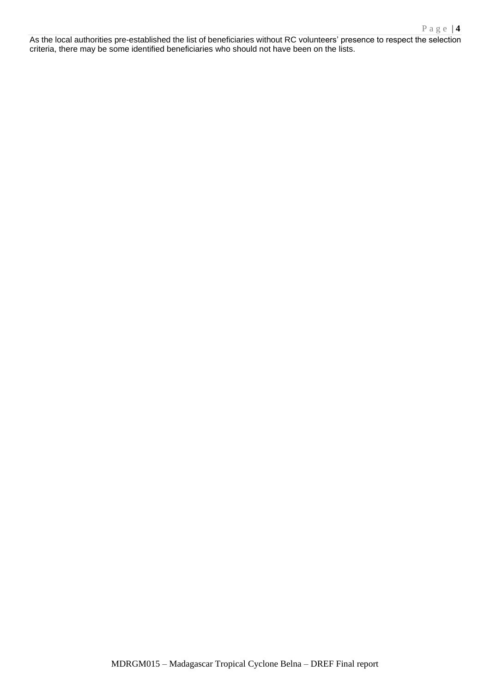As the local authorities pre-established the list of beneficiaries without RC volunteers' presence to respect the selection criteria, there may be some identified beneficiaries who should not have been on the lists.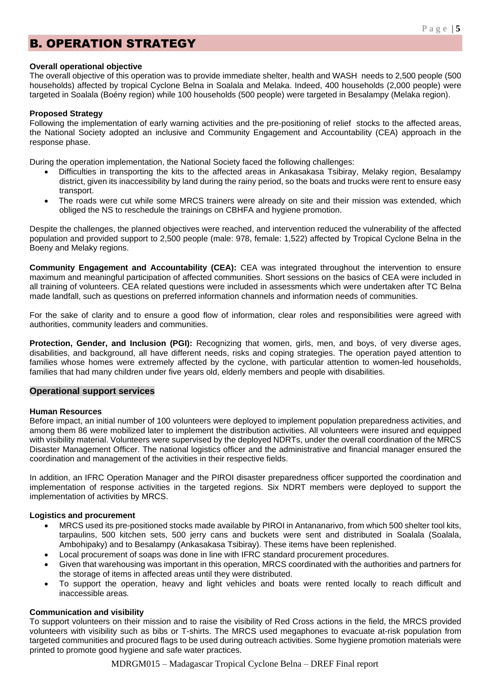# B. OPERATION STRATEGY

### **Overall operational objective**

The overall objective of this operation was to provide immediate shelter, health and WASH needs to 2,500 people (500 households) affected by tropical Cyclone Belna in Soalala and Melaka. Indeed, 400 households (2,000 people) were targeted in Soalala (Boény region) while 100 households (500 people) were targeted in Besalampy (Melaka region).

#### **Proposed Strategy**

Following the implementation of early warning activities and the pre-positioning of relief stocks to the affected areas, the National Society adopted an inclusive and Community Engagement and Accountability (CEA) approach in the response phase.

During the operation implementation, the National Society faced the following challenges:

- Difficulties in transporting the kits to the affected areas in Ankasakasa Tsibiray, Melaky region, Besalampy district, given its inaccessibility by land during the rainy period, so the boats and trucks were rent to ensure easy transport.
- The roads were cut while some MRCS trainers were already on site and their mission was extended, which obliged the NS to reschedule the trainings on CBHFA and hygiene promotion.

Despite the challenges, the planned objectives were reached, and intervention reduced the vulnerability of the affected population and provided support to 2,500 people (male: 978, female: 1,522) affected by Tropical Cyclone Belna in the Boeny and Melaky regions.

**Community Engagement and Accountability (CEA):** CEA was integrated throughout the intervention to ensure maximum and meaningful participation of affected communities. Short sessions on the basics of CEA were included in all training of volunteers. CEA related questions were included in assessments which were undertaken after TC Belna made landfall, such as questions on preferred information channels and information needs of communities.

For the sake of clarity and to ensure a good flow of information, clear roles and responsibilities were agreed with authorities, community leaders and communities.

**Protection, Gender, and Inclusion (PGI):** Recognizing that women, girls, men, and boys, of very diverse ages, disabilities, and background, all have different needs, risks and coping strategies. The operation payed attention to families whose homes were extremely affected by the cyclone, with particular attention to women-led households, families that had many children under five years old, elderly members and people with disabilities.

## **Operational support services**

## **Human Resources**

Before impact, an initial number of 100 volunteers were deployed to implement population preparedness activities, and among them 86 were mobilized later to implement the distribution activities. All volunteers were insured and equipped with visibility material. Volunteers were supervised by the deployed NDRTs, under the overall coordination of the MRCS Disaster Management Officer. The national logistics officer and the administrative and financial manager ensured the coordination and management of the activities in their respective fields.

In addition, an IFRC Operation Manager and the PIROI disaster preparedness officer supported the coordination and implementation of response activities in the targeted regions. Six NDRT members were deployed to support the implementation of activities by MRCS.

#### **Logistics and procurement**

- MRCS used its pre-positioned stocks made available by PIROI in Antananarivo, from which 500 shelter tool kits, tarpaulins, 500 kitchen sets, 500 jerry cans and buckets were sent and distributed in Soalala (Soalala, Ambohipaky) and to Besalampy (Ankasakasa Tsibiray). These items have been replenished.
- Local procurement of soaps was done in line with IFRC standard procurement procedures.
- Given that warehousing was important in this operation, MRCS coordinated with the authorities and partners for the storage of items in affected areas until they were distributed.
- To support the operation, heavy and light vehicles and boats were rented locally to reach difficult and inaccessible areas*.*

## **Communication and visibility**

To support volunteers on their mission and to raise the visibility of Red Cross actions in the field, the MRCS provided volunteers with visibility such as bibs or T-shirts. The MRCS used megaphones to evacuate at-risk population from targeted communities and procured flags to be used during outreach activities. Some hygiene promotion materials were printed to promote good hygiene and safe water practices.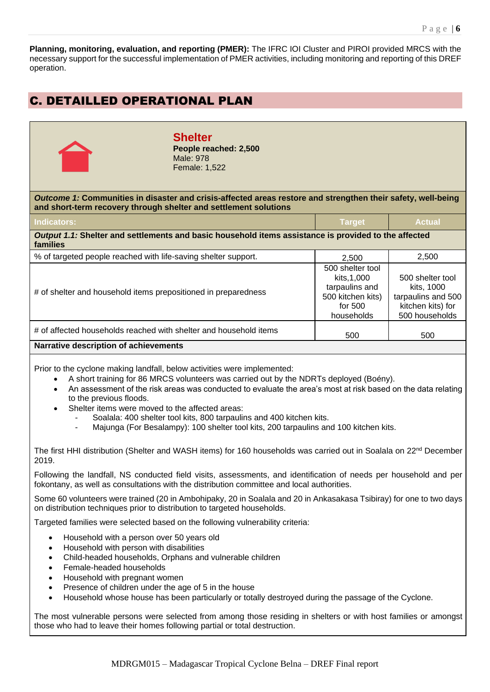**Planning, monitoring, evaluation, and reporting (PMER):** The IFRC IOI Cluster and PIROI provided MRCS with the necessary support for the successful implementation of PMER activities, including monitoring and reporting of this DREF operation.

# C. DETAILLED OPERATIONAL PLAN



**Shelter People reached: 2,500** Male: 978 Female: 1,522

*Outcome 1:* **Communities in disaster and crisis-affected areas restore and strengthen their safety, well-being and short-term recovery through shelter and settlement solutions**

| Indicators:                                                                                                      | <b>Target</b>                                                                                    | <b>Actual</b>                                                                               |  |  |
|------------------------------------------------------------------------------------------------------------------|--------------------------------------------------------------------------------------------------|---------------------------------------------------------------------------------------------|--|--|
| Output 1.1: Shelter and settlements and basic household items assistance is provided to the affected<br>families |                                                                                                  |                                                                                             |  |  |
| % of targeted people reached with life-saving shelter support.                                                   | 2.500                                                                                            | 2,500                                                                                       |  |  |
| # of shelter and household items prepositioned in preparedness                                                   | 500 shelter tool<br>kits.1.000<br>tarpaulins and<br>500 kitchen kits)<br>for $500$<br>households | 500 shelter tool<br>kits. 1000<br>tarpaulins and 500<br>kitchen kits) for<br>500 households |  |  |
| # of affected households reached with shelter and household items                                                | 500                                                                                              | 500                                                                                         |  |  |
| <b>Narrative description of achievements</b>                                                                     |                                                                                                  |                                                                                             |  |  |

Prior to the cyclone making landfall, below activities were implemented:

- A short training for 86 MRCS volunteers was carried out by the NDRTs deployed (Boény).
- An assessment of the risk areas was conducted to evaluate the area's most at risk based on the data relating to the previous floods.
- Shelter items were moved to the affected areas:
	- Soalala: 400 shelter tool kits, 800 tarpaulins and 400 kitchen kits.
	- Majunga (For Besalampy): 100 shelter tool kits, 200 tarpaulins and 100 kitchen kits.

The first HHI distribution (Shelter and WASH items) for 160 households was carried out in Soalala on 22<sup>nd</sup> December 2019.

Following the landfall, NS conducted field visits, assessments, and identification of needs per household and per fokontany, as well as consultations with the distribution committee and local authorities.

Some 60 volunteers were trained (20 in Ambohipaky, 20 in Soalala and 20 in Ankasakasa Tsibiray) for one to two days on distribution techniques prior to distribution to targeted households.

Targeted families were selected based on the following vulnerability criteria:

- Household with a person over 50 years old
- Household with person with disabilities
- Child-headed households, Orphans and vulnerable children
- Female-headed households
- Household with pregnant women
- Presence of children under the age of 5 in the house
- Household whose house has been particularly or totally destroyed during the passage of the Cyclone.

The most vulnerable persons were selected from among those residing in shelters or with host families or amongst those who had to leave their homes following partial or total destruction.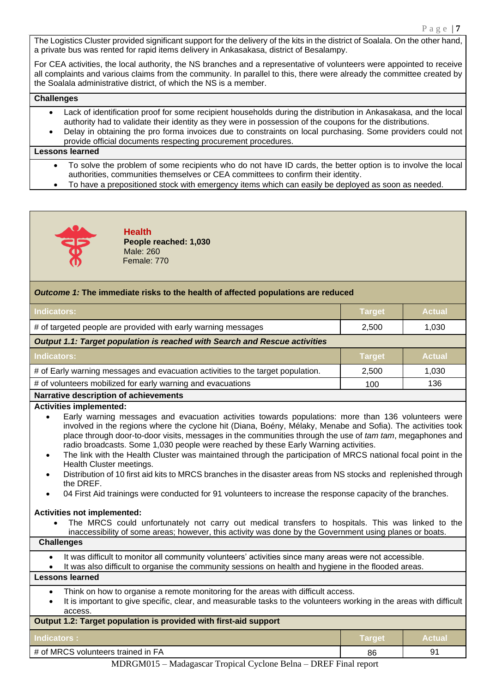The Logistics Cluster provided significant support for the delivery of the kits in the district of Soalala. On the other hand a private bus was rented for rapid items delivery in Ankasakasa, district of Besalampy.

For CEA activities, the local authority, the NS branches and a representative of volunteers were appointed to receive all complaints and various claims from the community. In parallel to this, there were already the committee created by the Soalala administrative district, of which the NS is a member.

### **Challenges**

- Lack of identification proof for some recipient households during the distribution in Ankasakasa, and the local authority had to validate their identity as they were in possession of the coupons for the distributions.
- Delay in obtaining the pro forma invoices due to constraints on local purchasing. Some providers could not provide official documents respecting procurement procedures.

#### **Lessons learned**

- To solve the problem of some recipients who do not have ID cards, the better option is to involve the local authorities, communities themselves or CEA committees to confirm their identity.
- To have a prepositioned stock with emergency items which can easily be deployed as soon as needed.



**Health People reached: 1,030** Male: 260 Female: 770

## *Outcome 1:* **The immediate risks to the health of affected populations are reduced**

| <u>UNIVERSITY IS THE MUNICIPAL HOND TO THE HUGHIT OF GITUOLUG PUPURING OF CHANGULAR</u> |               |               |  |  |
|-----------------------------------------------------------------------------------------|---------------|---------------|--|--|
| <b>Indicators:</b>                                                                      | <b>Target</b> | <b>Actual</b> |  |  |
| # of targeted people are provided with early warning messages                           | 2,500         | 1,030         |  |  |
| <b>Output 1.1: Target population is reached with Search and Rescue activities</b>       |               |               |  |  |
| <b>Indicators:</b>                                                                      | <b>Target</b> | <b>Actual</b> |  |  |
| # of Early warning messages and evacuation activities to the target population.         | 2,500         | 1,030         |  |  |
| # of volunteers mobilized for early warning and evacuations<br>136<br>100               |               |               |  |  |
| <b>Narrative description of achievements</b>                                            |               |               |  |  |
| <b>Activities implemented:</b>                                                          |               |               |  |  |

- Early warning messages and evacuation activities towards populations: more than 136 volunteers were involved in the regions where the cyclone hit (Diana, Boény, Mélaky, Menabe and Sofia). The activities took place through door-to-door visits, messages in the communities through the use of *tam tam*, megaphones and radio broadcasts. Some 1,030 people were reached by these Early Warning activities.
- The link with the Health Cluster was maintained through the participation of MRCS national focal point in the Health Cluster meetings.
- Distribution of 10 first aid kits to MRCS branches in the disaster areas from NS stocks and replenished through the DREF.
- 04 First Aid trainings were conducted for 91 volunteers to increase the response capacity of the branches.

#### **Activities not implemented:**

• The MRCS could unfortunately not carry out medical transfers to hospitals. This was linked to the inaccessibility of some areas; however, this activity was done by the Government using planes or boats.

**Challenges**

- It was difficult to monitor all community volunteers' activities since many areas were not accessible.
- It was also difficult to organise the community sessions on health and hygiene in the flooded areas.

## **Lessons learned**

- Think on how to organise a remote monitoring for the areas with difficult access.
- It is important to give specific, clear, and measurable tasks to the volunteers working in the areas with difficult access.

| Output 1.2: Target population is provided with first-aid support |        |               |  |
|------------------------------------------------------------------|--------|---------------|--|
| Indicators :                                                     | Target | <b>Actual</b> |  |
| # of MRCS volunteers trained in FA                               | 86     | ٩í            |  |

MDRGM015 – Madagascar Tropical Cyclone Belna – DREF Final report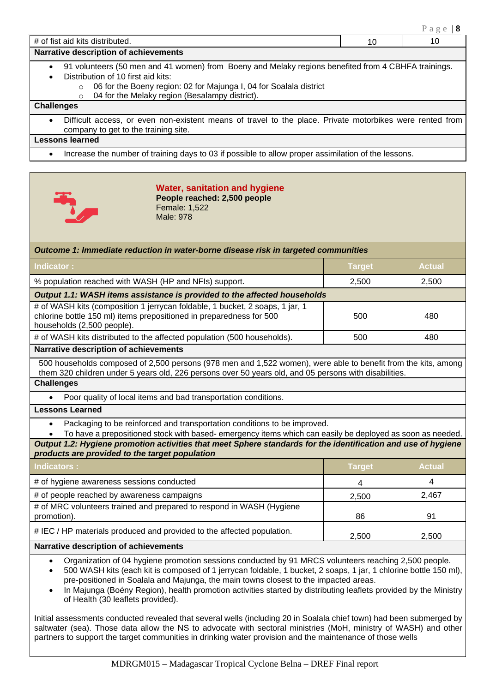|                                                                                                                                                                                                                                                                                                                                        |    | Page   $8$ |
|----------------------------------------------------------------------------------------------------------------------------------------------------------------------------------------------------------------------------------------------------------------------------------------------------------------------------------------|----|------------|
| # of fist aid kits distributed.                                                                                                                                                                                                                                                                                                        | 10 | 10         |
| Narrative description of achievements                                                                                                                                                                                                                                                                                                  |    |            |
| 91 volunteers (50 men and 41 women) from Boeny and Melaky regions benefited from 4 CBHFA trainings.<br>$\bullet$<br>Distribution of 10 first aid kits:<br>$\bullet$<br>06 for the Boeny region: 02 for Majunga I, 04 for Soalala district<br>$\circ$<br>04 for the Melaky region (Besalampy district).<br>$\circ$<br><b>Challenges</b> |    |            |
| Difficult access, or even non-existent means of travel to the place. Private motorbikes were rented from<br>$\bullet$<br>company to get to the training site.                                                                                                                                                                          |    |            |
| <b>Lessons learned</b>                                                                                                                                                                                                                                                                                                                 |    |            |
| Increase the number of training days to 03 if possible to allow proper assimilation of the lessons.<br>$\bullet$                                                                                                                                                                                                                       |    |            |
|                                                                                                                                                                                                                                                                                                                                        |    |            |



#### **Water, sanitation and hygiene People reached: 2,500 people**  Female: 1,522 Male: 978

| Outcome 1: Immediate reduction in water-borne disease risk in targeted communities                                                                                                                                                                                                                                                                                                                                                                             |               |               |  |  |
|----------------------------------------------------------------------------------------------------------------------------------------------------------------------------------------------------------------------------------------------------------------------------------------------------------------------------------------------------------------------------------------------------------------------------------------------------------------|---------------|---------------|--|--|
| <b>Indicator:</b>                                                                                                                                                                                                                                                                                                                                                                                                                                              | <b>Target</b> | <b>Actual</b> |  |  |
| % population reached with WASH (HP and NFIs) support.                                                                                                                                                                                                                                                                                                                                                                                                          | 2,500         | 2,500         |  |  |
| Output 1.1: WASH items assistance is provided to the affected households                                                                                                                                                                                                                                                                                                                                                                                       |               |               |  |  |
| # of WASH kits (composition 1 jerrycan foldable, 1 bucket, 2 soaps, 1 jar, 1<br>chlorine bottle 150 ml) items prepositioned in preparedness for 500<br>households (2,500 people).                                                                                                                                                                                                                                                                              | 500           | 480           |  |  |
| # of WASH kits distributed to the affected population (500 households).                                                                                                                                                                                                                                                                                                                                                                                        | 500           | 480           |  |  |
| <b>Narrative description of achievements</b>                                                                                                                                                                                                                                                                                                                                                                                                                   |               |               |  |  |
| 500 households composed of 2,500 persons (978 men and 1,522 women), were able to benefit from the kits, among<br>them 320 children under 5 years old, 226 persons over 50 years old, and 05 persons with disabilities.                                                                                                                                                                                                                                         |               |               |  |  |
| <b>Challenges</b>                                                                                                                                                                                                                                                                                                                                                                                                                                              |               |               |  |  |
| Poor quality of local items and bad transportation conditions.<br>$\bullet$                                                                                                                                                                                                                                                                                                                                                                                    |               |               |  |  |
| <b>Lessons Learned</b>                                                                                                                                                                                                                                                                                                                                                                                                                                         |               |               |  |  |
| Packaging to be reinforced and transportation conditions to be improved.<br>$\bullet$                                                                                                                                                                                                                                                                                                                                                                          |               |               |  |  |
| To have a prepositioned stock with based- emergency items which can easily be deployed as soon as needed.                                                                                                                                                                                                                                                                                                                                                      |               |               |  |  |
| Output 1.2: Hygiene promotion activities that meet Sphere standards for the identification and use of hygiene<br>products are provided to the target population                                                                                                                                                                                                                                                                                                |               |               |  |  |
| <b>Indicators:</b>                                                                                                                                                                                                                                                                                                                                                                                                                                             | <b>Target</b> | <b>Actual</b> |  |  |
| # of hygiene awareness sessions conducted                                                                                                                                                                                                                                                                                                                                                                                                                      | 4             | 4             |  |  |
| # of people reached by awareness campaigns                                                                                                                                                                                                                                                                                                                                                                                                                     | 2,500         | 2,467         |  |  |
| # of MRC volunteers trained and prepared to respond in WASH (Hygiene<br>promotion).                                                                                                                                                                                                                                                                                                                                                                            | 86            | 91            |  |  |
| # IEC / HP materials produced and provided to the affected population.<br>2,500<br>2,500                                                                                                                                                                                                                                                                                                                                                                       |               |               |  |  |
| Narrative description of achievements                                                                                                                                                                                                                                                                                                                                                                                                                          |               |               |  |  |
| Organization of 04 hygiene promotion sessions conducted by 91 MRCS volunteers reaching 2,500 people.<br>$\bullet$<br>500 WASH kits (each kit is composed of 1 jerrycan foldable, 1 bucket, 2 soaps, 1 jar, 1 chlorine bottle 150 ml),<br>$\bullet$<br>pre-positioned in Soalala and Majunga, the main towns closest to the impacted areas.<br>In Maiunga (Boény Region), health promotion activities started by distributing leaflets provided by the Ministry |               |               |  |  |

In Majunga (Boény Region), health promotion activities started by distributing leaflets provided by the Ministry of Health (30 leaflets provided).

Initial assessments conducted revealed that several wells (including 20 in Soalala chief town) had been submerged by saltwater (sea). Those data allow the NS to advocate with sectoral ministries (MoH, ministry of WASH) and other partners to support the target communities in drinking water provision and the maintenance of those wells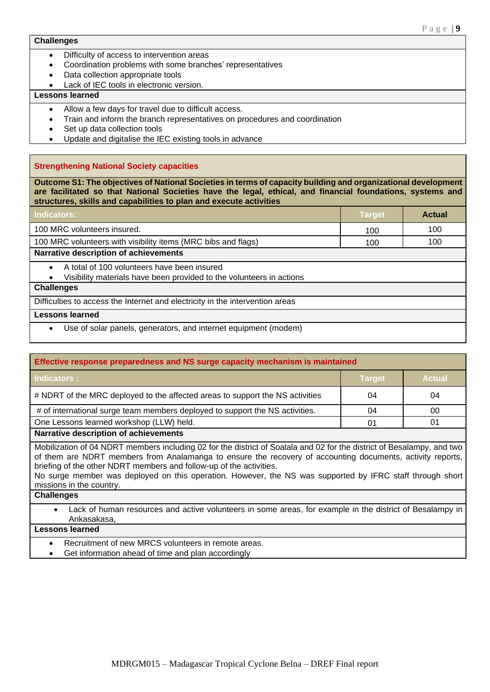#### **Challenges**

- Difficulty of access to intervention areas
- Coordination problems with some branches' representatives
- Data collection appropriate tools
- Lack of IEC tools in electronic version.

## **Lessons learned**

- Allow a few days for travel due to difficult access.
- Train and inform the branch representatives on procedures and coordination
- Set up data collection tools
- Update and digitalise the IEC existing tools in advance

## **Strengthening National Society capacities**

**Outcome S1: The objectives of National Societies in terms of capacity building and organizational development are facilitated so that National Societies have the legal, ethical, and financial foundations, systems and structures, skills and capabilities to plan and execute activities**

| Indicators:                                                                                                                                   | <b>Target</b> | <b>Actual</b> |
|-----------------------------------------------------------------------------------------------------------------------------------------------|---------------|---------------|
| 100 MRC volunteers insured.                                                                                                                   | 100           | 100           |
| 100 MRC volunteers with visibility items (MRC bibs and flags)<br>100                                                                          |               | 100           |
| Narrative description of achievements                                                                                                         |               |               |
| A total of 100 volunteers have been insured<br>$\bullet$<br>Visibility materials have been provided to the volunteers in actions<br>$\bullet$ |               |               |
| <b>Challenges</b>                                                                                                                             |               |               |
| Difficulties to access the Internet and electricity in the intervention areas                                                                 |               |               |
| <b>Lessons learned</b>                                                                                                                        |               |               |
| Use of solar panels, generators, and internet equipment (modem)<br>$\bullet$                                                                  |               |               |

| Effective response preparedness and NS surge capacity mechanism is maintained                                                                                                                                                                                                                                                                                                                                                                     |               |               |  |
|---------------------------------------------------------------------------------------------------------------------------------------------------------------------------------------------------------------------------------------------------------------------------------------------------------------------------------------------------------------------------------------------------------------------------------------------------|---------------|---------------|--|
| <b>Indicators:</b>                                                                                                                                                                                                                                                                                                                                                                                                                                | <b>Target</b> | <b>Actual</b> |  |
| # NDRT of the MRC deployed to the affected areas to support the NS activities                                                                                                                                                                                                                                                                                                                                                                     | 04            | 04            |  |
| # of international surge team members deployed to support the NS activities.                                                                                                                                                                                                                                                                                                                                                                      | 04            | 00            |  |
| One Lessons learned workshop (LLW) held.<br>01<br>01                                                                                                                                                                                                                                                                                                                                                                                              |               |               |  |
| Narrative description of achievements                                                                                                                                                                                                                                                                                                                                                                                                             |               |               |  |
| Mobilization of 04 NDRT members including 02 for the district of Soalala and 02 for the district of Besalampy, and two<br>of them are NDRT members from Analamanga to ensure the recovery of accounting documents, activity reports,<br>briefing of the other NDRT members and follow-up of the activities.<br>$M_{\odot}$ at the construction of the constanting the constant $M_{\odot}$ and $M_{\odot}$ at the HTDO at $\mu$ the contract of a |               |               |  |

No surge member was deployed on this operation. However, the NS was supported by IFRC staff through short missions in the country.

**Challenges**

• Lack of human resources and active volunteers in some areas, for example in the district of Besalampy in Ankasakasa,

## **Lessons learned**

- Recruitment of new MRCS volunteers in remote areas.
- Get information ahead of time and plan accordingly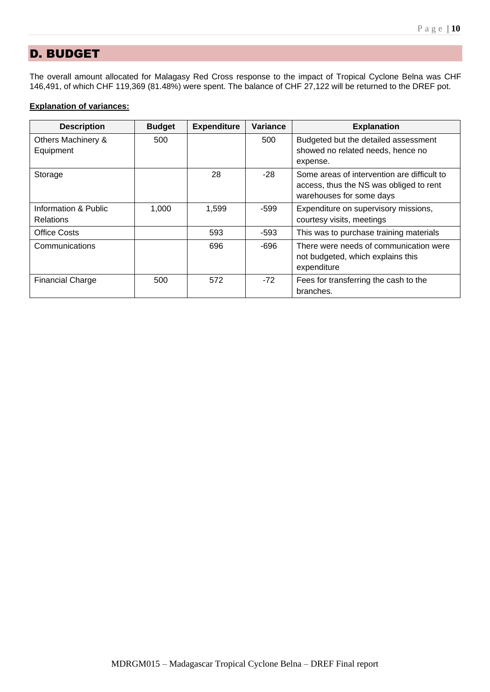# D. BUDGET

The overall amount allocated for Malagasy Red Cross response to the impact of Tropical Cyclone Belna was CHF 146,491, of which CHF 119,369 (81.48%) were spent. The balance of CHF 27,122 will be returned to the DREF pot.

## **Explanation of variances:**

| <b>Description</b>                       | <b>Budget</b> | <b>Expenditure</b> | <b>Variance</b> | <b>Explanation</b>                                                                                                 |
|------------------------------------------|---------------|--------------------|-----------------|--------------------------------------------------------------------------------------------------------------------|
| Others Machinery &<br>Equipment          | 500           |                    | 500             | Budgeted but the detailed assessment<br>showed no related needs, hence no<br>expense.                              |
| Storage                                  |               | 28                 | $-28$           | Some areas of intervention are difficult to<br>access, thus the NS was obliged to rent<br>warehouses for some days |
| Information & Public<br><b>Relations</b> | 1,000         | 1,599              | -599            | Expenditure on supervisory missions,<br>courtesy visits, meetings                                                  |
| Office Costs                             |               | 593                | -593            | This was to purchase training materials                                                                            |
| Communications                           |               | 696                | -696            | There were needs of communication were<br>not budgeted, which explains this<br>expenditure                         |
| <b>Financial Charge</b>                  | 500           | 572                | $-72$           | Fees for transferring the cash to the<br>branches.                                                                 |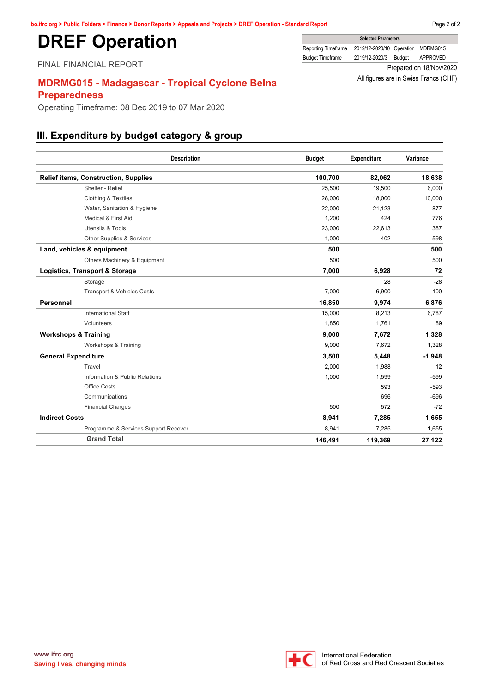# <span id="page-10-0"></span>**DREF Operation**

FINAL FINANCIAL REPORT

# **MDRMG015 - Madagascar - Tropical Cyclone Belna Preparedness**

Operating Timeframe: 08 Dec 2019 to 07 Mar 2020

# **III. Expenditure by budget category & group**

| <b>Description</b>                          | <b>Budget</b> | Expenditure | Variance |
|---------------------------------------------|---------------|-------------|----------|
| <b>Relief items, Construction, Supplies</b> | 100,700       | 82,062      | 18,638   |
| Shelter - Relief                            | 25,500        | 19,500      | 6,000    |
| <b>Clothing &amp; Textiles</b>              | 28,000        | 18,000      | 10,000   |
| Water, Sanitation & Hygiene                 | 22,000        | 21,123      | 877      |
| Medical & First Aid                         | 1.200         | 424         | 776      |
| <b>Utensils &amp; Tools</b>                 | 23,000        | 22,613      | 387      |
| Other Supplies & Services                   | 1,000         | 402         | 598      |
| Land, vehicles & equipment                  | 500           |             | 500      |
| Others Machinery & Equipment                | 500           |             | 500      |
| Logistics, Transport & Storage              | 7,000         | 6,928       | 72       |
| Storage                                     |               | 28          | $-28$    |
| <b>Transport &amp; Vehicles Costs</b>       | 7,000         | 6,900       | 100      |
| <b>Personnel</b>                            | 16,850        | 9,974       | 6,876    |
| <b>International Staff</b>                  | 15,000        | 8,213       | 6,787    |
| Volunteers                                  | 1,850         | 1,761       | 89       |
| <b>Workshops &amp; Training</b>             | 9,000         | 7,672       | 1,328    |
| Workshops & Training                        | 9,000         | 7,672       | 1,328    |
| <b>General Expenditure</b>                  | 3,500         | 5,448       | $-1,948$ |
| Travel                                      | 2,000         | 1,988       | 12       |
| Information & Public Relations              | 1,000         | 1,599       | $-599$   |
| Office Costs                                |               | 593         | $-593$   |
| Communications                              |               | 696         | $-696$   |
| <b>Financial Charges</b>                    | 500           | 572         | $-72$    |
| <b>Indirect Costs</b>                       | 8,941         | 7,285       | 1,655    |
| Programme & Services Support Recover        | 8,941         | 7,285       | 1,655    |
| <b>Grand Total</b>                          | 146,491       | 119,369     | 27,122   |



**Selected Parameters** Reporting Timeframe 2019/12-2020/10 Operation MDRMG015 Budget Timeframe 2019/12-2020/3 Budget APPROVED

> Prepared on 18/Nov/2020 All figures are in Swiss Francs (CHF)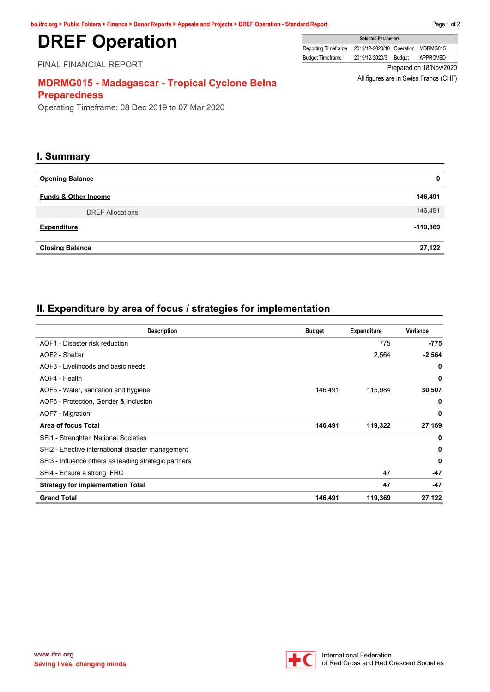# **DREF Operation**

FINAL FINANCIAL REPORT

|                         | <b>UCICLICAT ARTICLETS</b>         |        |                         |  |
|-------------------------|------------------------------------|--------|-------------------------|--|
| Reporting Timeframe     | 2019/12-2020/10 Operation MDRMG015 |        |                         |  |
| <b>Budget Timeframe</b> | 2019/12-2020/3                     | Budaet | APPROVED                |  |
|                         |                                    |        | Prepared on 18/Nov/2020 |  |

**Selected Parameters**

 $\Box$ 

All figures are in Swiss Francs (CHF)

# **MDRMG015 - Madagascar - Tropical Cyclone Belna Preparedness**

Operating Timeframe: 08 Dec 2019 to 07 Mar 2020

## **I. Summary**

| <b>Opening Balance</b>          | $\mathbf 0$ |
|---------------------------------|-------------|
| <b>Funds &amp; Other Income</b> | 146,491     |
| <b>DREF Allocations</b>         | 146,491     |
| <b>Expenditure</b>              | $-119,369$  |
| <b>Closing Balance</b>          | 27,122      |

# **II. Expenditure by area of focus / strategies for implementation**

| <b>Description</b>                                    | <b>Budget</b> | <b>Expenditure</b> | Variance |
|-------------------------------------------------------|---------------|--------------------|----------|
| AOF1 - Disaster risk reduction                        |               | 775                | -775     |
| AOF2 - Shelter                                        |               | 2,564              | $-2,564$ |
| AOF3 - Livelihoods and basic needs                    |               |                    | 0        |
| AOF4 - Health                                         |               |                    | 0        |
| AOF5 - Water, sanitation and hygiene                  | 146.491       | 115,984            | 30,507   |
| AOF6 - Protection, Gender & Inclusion                 |               |                    | 0        |
| AOF7 - Migration                                      |               |                    | 0        |
| Area of focus Total                                   | 146,491       | 119,322            | 27,169   |
| SFI1 - Strenghten National Societies                  |               |                    | 0        |
| SFI2 - Effective international disaster management    |               |                    | 0        |
| SFI3 - Influence others as leading strategic partners |               |                    | 0        |
| SFI4 - Ensure a strong IFRC                           |               | 47                 | $-47$    |
| <b>Strategy for implementation Total</b>              |               | 47                 | $-47$    |
| <b>Grand Total</b>                                    | 146,491       | 119,369            | 27,122   |